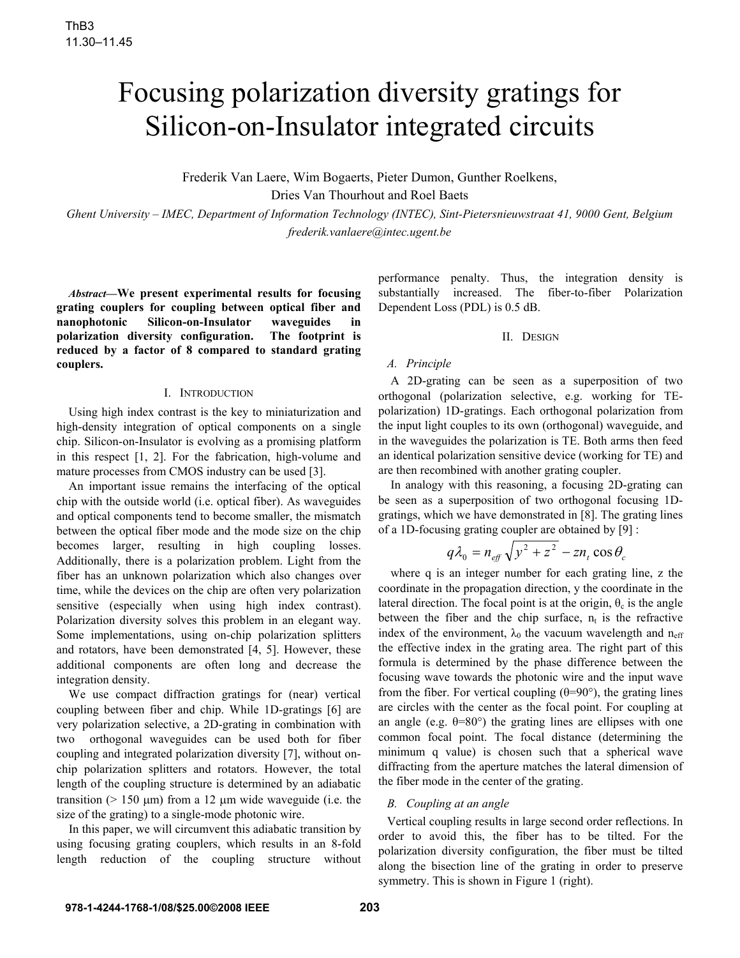# Focusing polarization diversity gratings for Silicon-on-Insulator integrated circuits

Frederik Van Laere, Wim Bogaerts, Pieter Dumon, Gunther Roelkens,

Dries Van Thourhout and Roel Baets

*Ghent University – IMEC, Department of Information Technology (INTEC), Sint-Pietersnieuwstraat 41, 9000 Gent, Belgium frederik.vanlaere@intec.ugent.be*

*Abstract***—We present experimental results for focusing grating couplers for coupling between optical fiber and nanophotonic** Silicon-on-Insulator waveguides **polarization diversity configuration. The footprint is reduced by a factor of 8 compared to standard grating couplers.**

# I. INTRODUCTION

Using high index contrast is the key to miniaturization and high-density integration of optical components on a single chip. Silicon-on-Insulator is evolving as a promising platform in this respect [1, 2]. For the fabrication, high-volume and mature processes from CMOS industry can be used [3].

An important issue remains the interfacing of the optical chip with the outside world (i.e. optical fiber). As waveguides and optical components tend to become smaller, the mismatch between the optical fiber mode and the mode size on the chip becomes larger, resulting in high coupling losses. Additionally, there is a polarization problem. Light from the fiber has an unknown polarization which also changes over time, while the devices on the chip are often very polarization sensitive (especially when using high index contrast). Polarization diversity solves this problem in an elegant way. Some implementations, using on-chip polarization splitters and rotators, have been demonstrated [4, 5]. However, these additional components are often long and decrease the integration density.

We use compact diffraction gratings for (near) vertical coupling between fiber and chip. While 1D-gratings [6] are very polarization selective, a 2D-grating in combination with two orthogonal waveguides can be used both for fiber coupling and integrated polarization diversity [7], without onchip polarization splitters and rotators. However, the total length of the coupling structure is determined by an adiabatic transition ( $> 150 \mu m$ ) from a 12  $\mu m$  wide waveguide (i.e. the size of the grating) to a single-mode photonic wire.

In this paper, we will circumvent this adiabatic transition by using focusing grating couplers, which results in an 8-fold length reduction of the coupling structure without performance penalty. Thus, the integration density is substantially increased. The fiber-to-fiber Polarization Dependent Loss (PDL) is 0.5 dB.

## II. DESIGN

# *A. Principle*

A 2D-grating can be seen as a superposition of two orthogonal (polarization selective, e.g. working for TEpolarization) 1D-gratings. Each orthogonal polarization from the input light couples to its own (orthogonal) waveguide, and in the waveguides the polarization is TE. Both arms then feed an identical polarization sensitive device (working for TE) and are then recombined with another grating coupler.

In analogy with this reasoning, a focusing 2D-grating can be seen as a superposition of two orthogonal focusing 1Dgratings, which we have demonstrated in [8]. The grating lines of a 1D-focusing grating coupler are obtained by [9] :

$$
q\lambda_0 = n_{\text{eff}}\sqrt{y^2 + z^2} - zn_t \cos\theta_c
$$

where q is an integer number for each grating line, z the coordinate in the propagation direction, y the coordinate in the lateral direction. The focal point is at the origin,  $\theta_c$  is the angle between the fiber and the chip surface,  $n_t$  is the refractive index of the environment,  $\lambda_0$  the vacuum wavelength and n<sub>eff</sub> the effective index in the grating area. The right part of this formula is determined by the phase difference between the focusing wave towards the photonic wire and the input wave from the fiber. For vertical coupling  $(\theta=90^{\circ})$ , the grating lines are circles with the center as the focal point. For coupling at an angle (e.g.  $\theta = 80^\circ$ ) the grating lines are ellipses with one common focal point. The focal distance (determining the minimum q value) is chosen such that a spherical wave diffracting from the aperture matches the lateral dimension of the fiber mode in the center of the grating.

# *B. Coupling at an angle*

Vertical coupling results in large second order reflections. In order to avoid this, the fiber has to be tilted. For the polarization diversity configuration, the fiber must be tilted along the bisection line of the grating in order to preserve symmetry. This is shown in Figure 1 (right).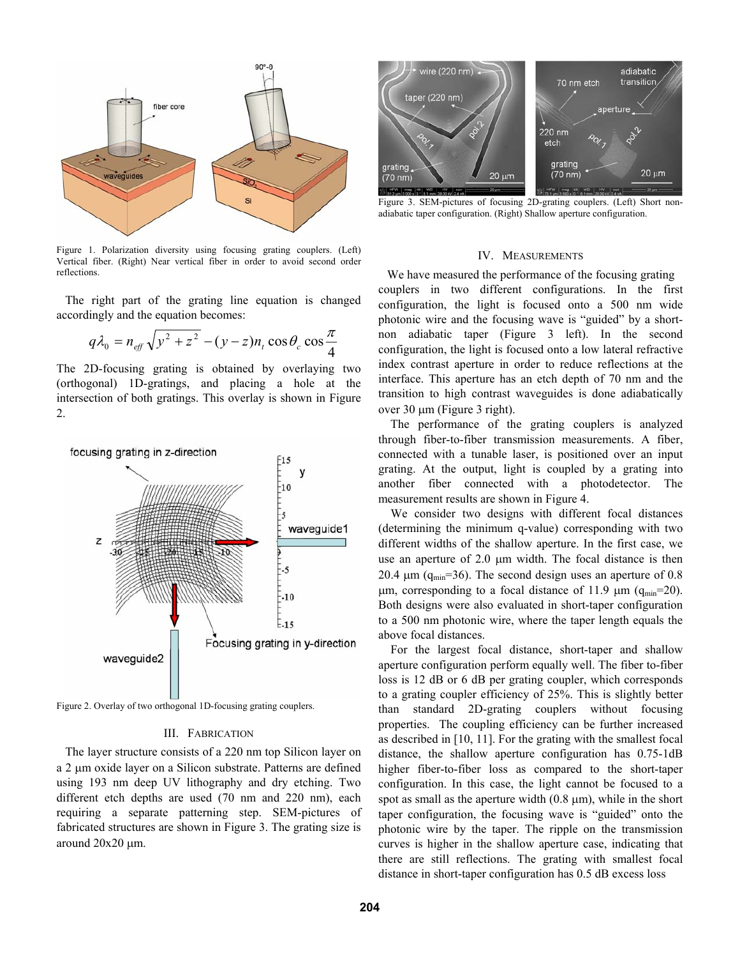

Figure 1. Polarization diversity using focusing grating couplers. (Left) Vertical fiber. (Right) Near vertical fiber in order to avoid second order reflections.

The right part of the grating line equation is changed accordingly and the equation becomes:

$$
q\lambda_0 = n_{\text{eff}}\sqrt{y^2 + z^2} - (y - z)n_t \cos\theta_c \cos\frac{\pi}{4}
$$

The 2D-focusing grating is obtained by overlaying two (orthogonal) 1D-gratings, and placing a hole at the intersection of both gratings. This overlay is shown in Figure 2.



Figure 2. Overlay of two orthogonal 1D-focusing grating couplers.

#### III. FABRICATION

The layer structure consists of a 220 nm top Silicon layer on a 2 µm oxide layer on a Silicon substrate. Patterns are defined using 193 nm deep UV lithography and dry etching. Two different etch depths are used (70 nm and 220 nm), each requiring a separate patterning step. SEM-pictures of fabricated structures are shown in Figure 3. The grating size is around  $20x20 \mu m$ .



Figure 3. SEM-pictures of focusing 2D-grating couplers. (Left) Short nonadiabatic taper configuration. (Right) Shallow aperture configuration.

#### IV. MEASUREMENTS

We have measured the performance of the focusing grating couplers in two different configurations. In the first configuration, the light is focused onto a 500 nm wide photonic wire and the focusing wave is "guided" by a shortnon adiabatic taper (Figure 3 left). In the second configuration, the light is focused onto a low lateral refractive index contrast aperture in order to reduce reflections at the interface. This aperture has an etch depth of 70 nm and the transition to high contrast waveguides is done adiabatically over  $30 \mu m$  (Figure 3 right).

 The performance of the grating couplers is analyzed through fiber-to-fiber transmission measurements. A fiber, connected with a tunable laser, is positioned over an input grating. At the output, light is coupled by a grating into another fiber connected with a photodetector. The measurement results are shown in Figure 4.

 We consider two designs with different focal distances (determining the minimum q-value) corresponding with two different widths of the shallow aperture. In the first case, we use an aperture of  $2.0 \mu m$  width. The focal distance is then 20.4  $\mu$ m (q<sub>min</sub>=36). The second design uses an aperture of 0.8  $\mu$ m, corresponding to a focal distance of 11.9  $\mu$ m (q<sub>min</sub>=20). Both designs were also evaluated in short-taper configuration to a 500 nm photonic wire, where the taper length equals the above focal distances.

For the largest focal distance, short-taper and shallow aperture configuration perform equally well. The fiber to-fiber loss is 12 dB or 6 dB per grating coupler, which corresponds to a grating coupler efficiency of 25%. This is slightly better than standard 2D-grating couplers without focusing properties. The coupling efficiency can be further increased as described in [10, 11]. For the grating with the smallest focal distance, the shallow aperture configuration has 0.75-1dB higher fiber-to-fiber loss as compared to the short-taper configuration. In this case, the light cannot be focused to a spot as small as the aperture width  $(0.8 \mu m)$ , while in the short taper configuration, the focusing wave is "guided" onto the photonic wire by the taper. The ripple on the transmission curves is higher in the shallow aperture case, indicating that there are still reflections. The grating with smallest focal distance in short-taper configuration has 0.5 dB excess loss